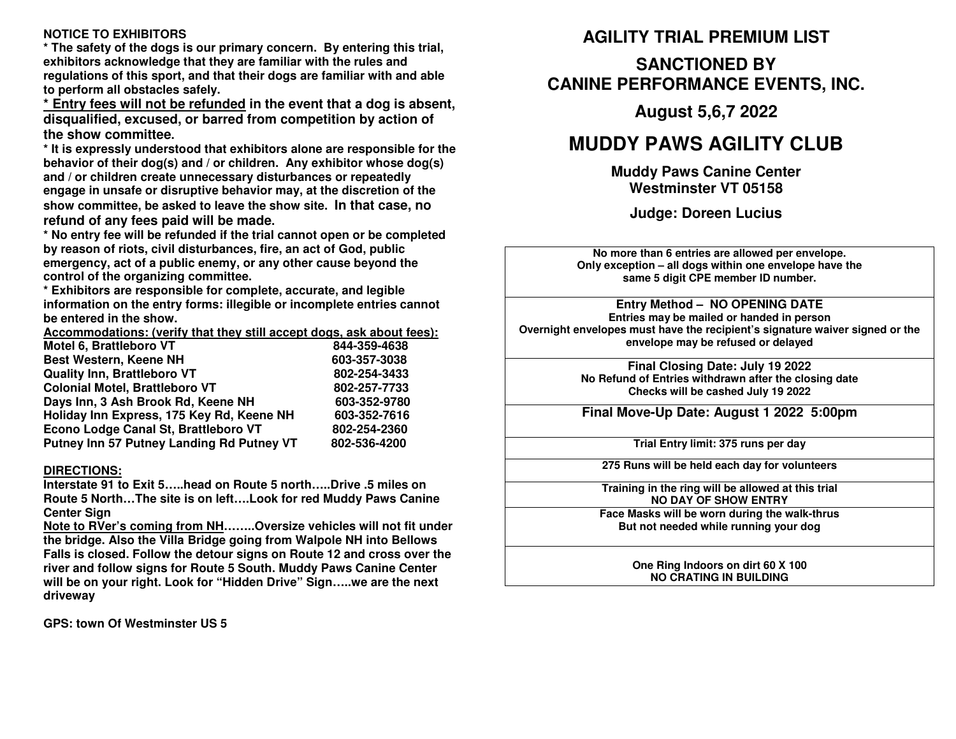### **NOTICE TO EXHIBITORS**

 **\* The safety of the dogs is our primary concern. By entering this trial, exhibitors acknowledge that they are familiar with the rules and regulations of this sport, and that their dogs are familiar with and ableto perform all obstacles safely.**

 **\* Entry fees will not be refunded in the event that a dog is absent, disqualified, excused, or barred from competition by action ofthe show committee.**

 **\* It is expressly understood that exhibitors alone are responsible for thebehavior of their dog(s) and / or children. Any exhibitor whose dog(s)and / or children create unnecessary disturbances or repeatedly engage in unsafe or disruptive behavior may, at the discretion of the show committee, be asked to leave the show site. In that case, norefund of any fees paid will be made.**

 **\* No entry fee will be refunded if the trial cannot open or be completedby reason of riots, civil disturbances, fire, an act of God, public emergency, act of a public enemy, or any other cause beyond thecontrol of the organizing committee.**

 **\* Exhibitors are responsible for complete, accurate, and legible information on the entry forms: illegible or incomplete entries cannotbe entered in the show.**

**Accommodations: (verify that they still accept dogs, ask about fees):**

| Motel 6, Brattleboro VT                   | 844-359-4638 |
|-------------------------------------------|--------------|
| <b>Best Western, Keene NH</b>             | 603-357-3038 |
| <b>Quality Inn, Brattleboro VT</b>        | 802-254-3433 |
| <b>Colonial Motel, Brattleboro VT</b>     | 802-257-7733 |
| Days Inn, 3 Ash Brook Rd, Keene NH        | 603-352-9780 |
| Holiday Inn Express, 175 Key Rd, Keene NH | 603-352-7616 |
| Econo Lodge Canal St, Brattleboro VT      | 802-254-2360 |
| Putney Inn 57 Putney Landing Rd Putney VT | 802-536-4200 |

#### **DIRECTIONS:**

 **Interstate 91 to Exit 5…..head on Route 5 north…..Drive .5 miles on Route 5 North…The site is on left….Look for red Muddy Paws Canine Center Sign** 

 **Note to RVer's coming from NH……..Oversize vehicles will not fit under the bridge. Also the Villa Bridge going from Walpole NH into Bellows Falls is closed. Follow the detour signs on Route 12 and cross over the river and follow signs for Route 5 South. Muddy Paws Canine Center will be on your right. Look for "Hidden Drive" Sign…..we are the next driveway** 

**GPS: town Of Westminster US 5** 

# **AGILITY TRIAL PREMIUM LIST**

# **SANCTIONED BY CANINE PERFORMANCE EVENTS, INC.**

**August 5,6,7 2022** 

# **MUDDY PAWS AGILITY CLUB**

**Muddy Paws Canine Center Westminster VT 05158** 

**Judge: Doreen Lucius** 

**No more than 6 entries are allowed per envelope. Only exception – all dogs within one envelope have the same 5 digit CPE member ID number.** 

**Entry Method – NO OPENING DATE Entries may be mailed or handed in person Overnight envelopes must have the recipient's signature waiver signed or the envelope may be refused or delayed** 

> **Final Closing Date: July 19 <sup>2022</sup> No Refund of Entries withdrawn after the closing date Checks will be cashed July 19 2022**

**Final Move-Up Date: August 1 <sup>2022</sup> 5:00pm**

**Trial Entry limit: 375 runs per day**

**275 Runs will be held each day for volunteers**

**Training in the ring will be allowed at this trialNO DAY OF SHOW ENTRY** 

 **Face Masks will be worn during the walk-thrusBut not needed while running your dog** 

> **One Ring Indoors on dirt 60 X 100 NO CRATING IN BUILDING**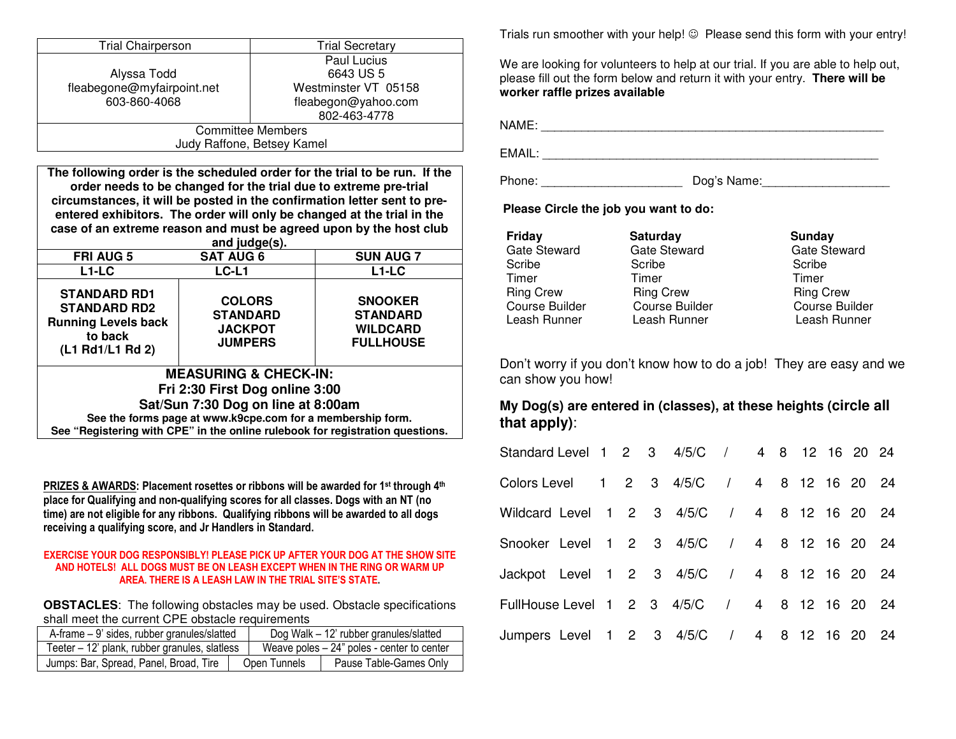| <b>Trial Chairperson</b>                                                      |                                  | <b>Trial Secretary</b>   |                                                                            |  |  |
|-------------------------------------------------------------------------------|----------------------------------|--------------------------|----------------------------------------------------------------------------|--|--|
|                                                                               |                                  |                          | Paul Lucius                                                                |  |  |
| Alyssa Todd                                                                   |                                  |                          | 6643 US 5                                                                  |  |  |
| fleabegone@myfairpoint.net                                                    |                                  |                          | Westminster VT 05158                                                       |  |  |
| 603-860-4068                                                                  |                                  |                          | fleabegon@yahoo.com                                                        |  |  |
|                                                                               | 802-463-4778                     |                          |                                                                            |  |  |
|                                                                               |                                  | <b>Committee Members</b> |                                                                            |  |  |
|                                                                               | Judy Raffone, Betsey Kamel       |                          |                                                                            |  |  |
|                                                                               |                                  |                          |                                                                            |  |  |
|                                                                               |                                  |                          | The following order is the scheduled order for the trial to be run. If the |  |  |
|                                                                               |                                  |                          | order needs to be changed for the trial due to extreme pre-trial           |  |  |
|                                                                               |                                  |                          | circumstances, it will be posted in the confirmation letter sent to pre-   |  |  |
|                                                                               |                                  |                          | entered exhibitors. The order will only be changed at the trial in the     |  |  |
|                                                                               |                                  |                          | case of an extreme reason and must be agreed upon by the host club         |  |  |
|                                                                               | and judge(s).                    |                          |                                                                            |  |  |
| <b>FRI AUG 5</b>                                                              | <b>SAT AUG 6</b>                 |                          | <b>SUN AUG 7</b>                                                           |  |  |
| $L1-LC$                                                                       | LC-L1                            |                          | $L1-LC$                                                                    |  |  |
| <b>STANDARD RD1</b>                                                           |                                  |                          |                                                                            |  |  |
| <b>STANDARD RD2</b>                                                           | <b>COLORS</b>                    |                          | <b>SNOOKER</b>                                                             |  |  |
|                                                                               | <b>STANDARD</b>                  |                          | <b>STANDARD</b>                                                            |  |  |
| <b>Running Levels back</b><br>to back                                         | <b>JACKPOT</b>                   |                          | <b>WILDCARD</b>                                                            |  |  |
|                                                                               | <b>JUMPERS</b>                   |                          | <b>FULLHOUSE</b>                                                           |  |  |
| (L1 Rd1/L1 Rd 2)                                                              |                                  |                          |                                                                            |  |  |
|                                                                               | <b>MEASURING &amp; CHECK-IN:</b> |                          |                                                                            |  |  |
|                                                                               |                                  |                          |                                                                            |  |  |
| Fri 2:30 First Dog online 3:00<br>Sat/Sun 7:30 Dog on line at 8:00am          |                                  |                          |                                                                            |  |  |
| See the forms page at www.k9cpe.com for a membership form.                    |                                  |                          |                                                                            |  |  |
| See "Registering with CPE" in the online rulebook for registration questions. |                                  |                          |                                                                            |  |  |
|                                                                               |                                  |                          |                                                                            |  |  |

**PRIZES & AWARDS: Placement rosettes or ribbons will be awarded for 1st through 4th place for Qualifying and non-qualifying scores for all classes. Dogs with an NT (no time) are not eligible for any ribbons. Qualifying ribbons will be awarded to all dogs receiving a qualifying score, and Jr Handlers in Standard.** 

#### **EXERCISE YOUR DOG RESPONSIBLY! PLEASE PICK UP AFTER YOUR DOG AT THE SHOW SITE AND HOTELS! ALL DOGS MUST BE ON LEASH EXCEPT WHEN IN THE RING OR WARM UP AREA. THERE IS A LEASH LAW IN THE TRIAL SITE'S STATE.**

**OBSTACLES**: The following obstacles may be used. Obstacle specifications shall meet the current CPE obstacle requirements

| A-frame - 9' sides, rubber granules/slatted   |              | Dog Walk - 12' rubber granules/slatted |                                              |
|-----------------------------------------------|--------------|----------------------------------------|----------------------------------------------|
| Teeter – 12' plank, rubber granules, slatless |              |                                        | Weave poles $-24$ " poles - center to center |
| Jumps: Bar, Spread, Panel, Broad, Tire        | Open Tunnels |                                        | Pause Table-Games Only                       |

Trials run smoother with your help! ☺ Please send this form with your entry!

We are looking for volunteers to help at our trial. If you are able to help out, please fill out the form below and return it with your entry. **There will be worker raffle prizes available** 

NAME: \_\_\_\_\_\_\_\_\_\_\_\_\_\_\_\_\_\_\_\_\_\_\_\_\_\_\_\_\_\_\_\_\_\_\_\_\_\_\_\_\_\_\_\_\_\_\_\_\_\_\_

EMAIL: \_\_\_\_\_\_\_\_\_\_\_\_\_\_\_\_\_\_\_\_\_\_\_\_\_\_\_\_\_\_\_\_\_\_\_\_\_\_\_\_\_\_\_\_\_\_\_\_\_\_

Phone: \_\_\_\_\_\_\_\_\_\_\_\_\_\_\_\_\_\_\_\_\_ Dog's Name:\_\_\_\_\_\_\_\_\_\_\_\_\_\_\_\_\_\_\_

**Please Circle the job you want to do:** 

| <b>Friday</b>         | Saturday              | Sunday                |
|-----------------------|-----------------------|-----------------------|
| <b>Gate Steward</b>   | <b>Gate Steward</b>   | <b>Gate Steward</b>   |
| Scribe                | Scribe                | Scribe                |
| Timer                 | Timer                 | Timer                 |
| <b>Ring Crew</b>      | <b>Ring Crew</b>      | <b>Ring Crew</b>      |
| <b>Course Builder</b> | <b>Course Builder</b> | <b>Course Builder</b> |
| Leash Runner          | Leash Runner          | Leash Runner          |

Don't worry if you don't know how to do a job! They are easy and we can show you how!

## **My Dog(s) are entered in (classes), at these heights (circle allthat apply)**:

| Standard Level 1 2 3 4/5/C / 4 8 12 16 20 24  |  |  |  |  |  |  |
|-----------------------------------------------|--|--|--|--|--|--|
| Colors Level 1 2 3 4/5/C / 4 8 12 16 20 24    |  |  |  |  |  |  |
| Wildcard Level 1 2 3 4/5/C / 4 8 12 16 20 24  |  |  |  |  |  |  |
| Snooker Level 1 2 3 4/5/C / 4 8 12 16 20 24   |  |  |  |  |  |  |
| Jackpot Level 1 2 3 4/5/C / 4 8 12 16 20 24   |  |  |  |  |  |  |
| FullHouse Level 1 2 3 4/5/C / 4 8 12 16 20 24 |  |  |  |  |  |  |
| Jumpers Level 1 2 3 4/5/C / 4 8 12 16 20 24   |  |  |  |  |  |  |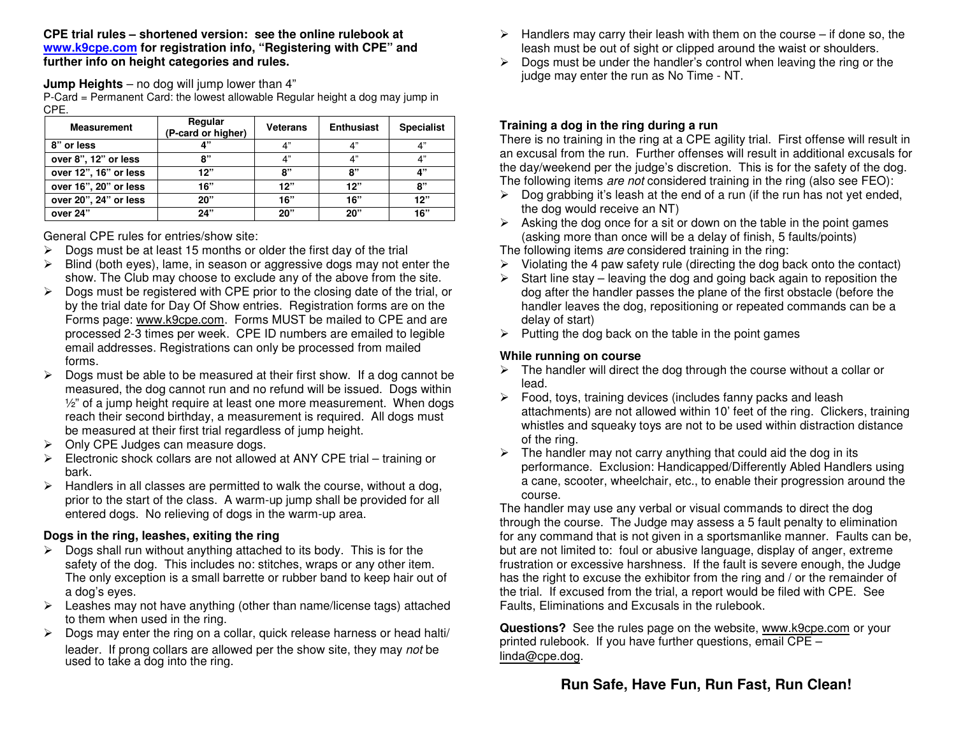**CPE trial rules – shortened version: see the online rulebook at www.k9cpe.com for registration info, "Registering with CPE" and further info on height categories and rules.**

**Jump Heights** – no dog will jump lower than 4"

P-Card = Permanent Card: the lowest allowable Regular height a dog may jump inCPE.

| <b>Measurement</b>    | Regular<br>(P-card or higher) | <b>Veterans</b> | <b>Enthusiast</b> | <b>Specialist</b> |
|-----------------------|-------------------------------|-----------------|-------------------|-------------------|
| 8" or less            | "י                            | 4"              | 4"                | 4"                |
| over 8", 12" or less  | יי א                          | 4"              | 4"                | 4"                |
| over 12", 16" or less | 12"                           | 8"              | 8"                | 4"                |
| over 16", 20" or less | 16"                           | 12"             | 12"               | 8"                |
| over 20", 24" or less | 20"                           | 16"             | 16"               | 12"               |
| over 24"              | 24"                           | 20"             | 20"               | 16"               |

General CPE rules for entries/show site:

- $\geq$  Dogs must be at least 15 months or older the first day of the trial  $\geq$  Dlind (both over) lamp in access or aggressive dogs may not a  $\triangleright$
- ► Blind (both eyes), lame, in season or aggressive dogs may not enter the site in the site of the show The Club may choose to evolude any of the chown from the site show. The Club may choose to exclude any of the above from the site.
- Dogs must be registered with CPE prior to the closing date of the trial, or<br>by the trial data for Day Of Show ontries. Bogistration forms are an the by the trial date for Day Of Show entries. Registration forms are on theForms page: <u>www.k9cpe.com</u>. Forms MUST be mailed to CPE and are processed 2-3 times per week. CPE ID numbers are emailed to legibleemail addresses. Registrations can only be processed from mailedforms.
- $\triangleright$  Dogs must be able to be measured at their first show. If a dog cannot be measured the dog cannot run and no refund will be journed. Dogs within  $\blacktriangleright$ measured, the dog cannot run and no refund will be issued. Dogs within ½" of a jump height require at least one more measurement. When dogsreach their second birthday, a measurement is required. All dogs mustbe measured at their first trial regardless of jump height.
- $\blacktriangleright$ Only CPE Judges can measure dogs.
- $\triangleright$  Electronic shock collars are not allowed at ANY CPE trial – training or bark.
- > Handlers in all classes are permitted to walk the course, without a dog, prior to the start of the class. A warm-up jump shall be provided for allentered dogs. No relieving of dogs in the warm-up area.

## **Dogs in the ring, leashes, exiting the ring**

- ▶ Dogs shall run without anything attached to its body. This is for the postatu of the dog. This includes not attached wrope or any other its safety of the dog. This includes no: stitches, wraps or any other item. The only exception is a small barrette or rubber band to keep hair out of a dog's eyes.
- > Leashes may not have anything (other than name/license tags) attached<br>to them when used in the ring to them when used in the ring.
- > Dogs may enter the ring on a collar, quick release harness or head halti/ leader. If prong collars are allowed per the show site, they may not be used to take a dog into the ring.
- ► Handlers may carry their leash with them on the course if done so, the leash must be out of cight or clinned around the weist or aboulders leash must be out of sight or clipped around the waist or shoulders.
- > Dogs must be under the handler's control when leaving the ring or the<br>index may opter the run as No Time. NT judge may enter the run as No Time - NT.

## **Training a dog in the ring during a run**

 There is no training in the ring at a CPE agility trial. First offense will result in an excusal from the run. Further offenses will result in additional excusals for the day/weekend per the judge's discretion. This is for the safety of the dog. The following items are not considered training in the ring (also see FEO):

- $\triangleright$  Dog grabbing it's leash at the end of a run (if the run has not yet ended,<br>the dag would resolve an NT) the dog would receive an NT)
- $\triangleright$  Asking the dog once for a sit or down on the table in the point games (asking more than once will be a delay of finish, 5 faults/points)
- The following items are considered training in the ring:
- $\triangleright$  Violating the 4 paw safety rule (directing the dog back onto the contact)
- Start line stay leaving the dog and going back again to reposition the<br>deg ofter the bandler passes the plane of the first obstacle (befare the dog after the handler passes the plane of the first obstacle (before the handler leaves the dog, repositioning or repeated commands can be adelay of start)
- $\triangleright$  Putting the dog back on the table in the point games

### **While running on course**

- > The handler will direct the dog through the course without a collar or lead.
- > Food, toys, training devices (includes fanny packs and leash<br>ethnomorphisms and ellowed within 10' feet of the ring. Client attachments) are not allowed within 10' feet of the ring. Clickers, training whistles and squeaky toys are not to be used within distraction distanceof the ring.
- > The handler may not carry anything that could aid the dog in its<br>norformance. Evaluation: Handleanned/Differently Abled Handle performance. Exclusion: Handicapped/Differently Abled Handlers using a cane, scooter, wheelchair, etc., to enable their progression around thecourse.

 The handler may use any verbal or visual commands to direct the dog through the course. The Judge may assess a 5 fault penalty to elimination for any command that is not given in a sportsmanlike manner. Faults can be, but are not limited to: foul or abusive language, display of anger, extreme frustration or excessive harshness. If the fault is severe enough, the Judge has the right to excuse the exhibitor from the ring and / or the remainder of the trial. If excused from the trial, a report would be filed with CPE. See Faults, Eliminations and Excusals in the rulebook.

**Questions?** See the rules page on the website, www.k9cpe.com or your<br>printed rulebook. If you have further questions, email CPE printed rulebook. If you have further questions, email CPE – linda@cpe.dog.

# **Run Safe, Have Fun, Run Fast, Run Clean!**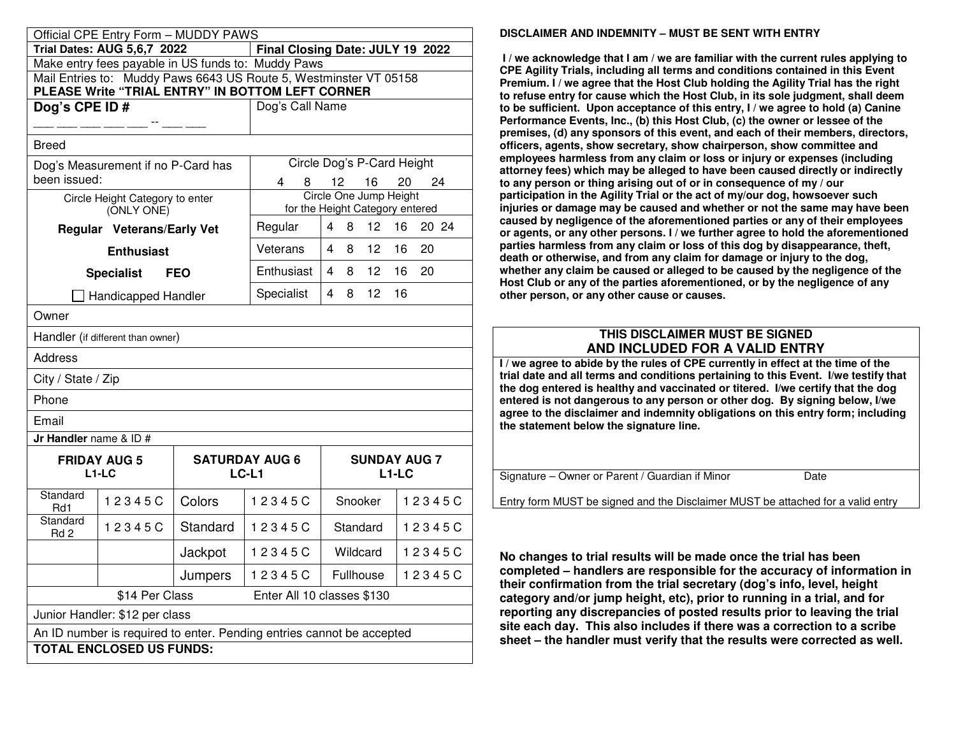|                                                                                                                       | Official CPE Entry Form - MUDDY PAWS          |            |                                |                                                           |                                           |  |  |
|-----------------------------------------------------------------------------------------------------------------------|-----------------------------------------------|------------|--------------------------------|-----------------------------------------------------------|-------------------------------------------|--|--|
| <b>Trial Dates: AUG 5,6,7 2022</b><br>Final Closing Date: JULY 19 2022                                                |                                               |            |                                |                                                           |                                           |  |  |
| Make entry fees payable in US funds to: Muddy Paws                                                                    |                                               |            |                                |                                                           |                                           |  |  |
| Mail Entries to: Muddy Paws 6643 US Route 5, Westminster VT 05158<br>PLEASE Write "TRIAL ENTRY" IN BOTTOM LEFT CORNER |                                               |            |                                |                                                           |                                           |  |  |
| Dog's CPE ID#                                                                                                         |                                               |            | Dog's Call Name                |                                                           |                                           |  |  |
|                                                                                                                       |                                               |            |                                |                                                           |                                           |  |  |
| <b>Breed</b>                                                                                                          |                                               |            |                                |                                                           |                                           |  |  |
|                                                                                                                       | Dog's Measurement if no P-Card has            |            |                                | Circle Dog's P-Card Height                                |                                           |  |  |
| been issued:                                                                                                          |                                               |            | 4                              | 12 16                                                     | 24<br>20                                  |  |  |
|                                                                                                                       | Circle Height Category to enter<br>(ONLY ONE) |            |                                | Circle One Jump Height<br>for the Height Category entered |                                           |  |  |
|                                                                                                                       | Regular Veterans/Early Vet                    |            | Regular                        | 4 8 12 16                                                 | 20 24                                     |  |  |
|                                                                                                                       | <b>Enthusiast</b>                             |            | Veterans                       | $\overline{4}$<br>8<br>12 <sup>7</sup>                    | 16<br>20                                  |  |  |
|                                                                                                                       | <b>Specialist</b>                             | <b>FEO</b> | Enthusiast                     | 12<br>4<br>8                                              | 16<br>20                                  |  |  |
|                                                                                                                       | Handicapped Handler                           |            | Specialist                     | 4<br>8<br>12 <sup>2</sup>                                 | 16                                        |  |  |
| Owner                                                                                                                 |                                               |            |                                |                                                           |                                           |  |  |
|                                                                                                                       | Handler (if different than owner)             |            |                                |                                                           |                                           |  |  |
| Address                                                                                                               |                                               |            |                                |                                                           |                                           |  |  |
| City / State / Zip                                                                                                    |                                               |            |                                |                                                           |                                           |  |  |
| Phone                                                                                                                 |                                               |            |                                |                                                           |                                           |  |  |
| Email                                                                                                                 |                                               |            |                                |                                                           |                                           |  |  |
| Jr Handler name & ID #                                                                                                |                                               |            |                                |                                                           |                                           |  |  |
|                                                                                                                       | <b>FRIDAY AUG 5</b><br>$L1-LC$                |            | <b>SATURDAY AUG 6</b><br>LC-L1 |                                                           | <b>SUNDAY AUG 7</b><br>L <sub>1</sub> -LC |  |  |
| Standard<br>Rd1                                                                                                       | 12345C                                        | Colors     | 12345C                         | Snooker                                                   | 12345C                                    |  |  |
| Standard<br>Rd 2                                                                                                      | 12345C                                        | Standard   | 12345C                         | Standard                                                  | 12345C                                    |  |  |
|                                                                                                                       |                                               | Jackpot    | 12345C                         | Wildcard                                                  | 12345C                                    |  |  |
|                                                                                                                       |                                               | Jumpers    | 12345C                         | Fullhouse                                                 | 12345C                                    |  |  |
| \$14 Per Class<br>Enter All 10 classes \$130                                                                          |                                               |            |                                |                                                           |                                           |  |  |
| Junior Handler: \$12 per class                                                                                        |                                               |            |                                |                                                           |                                           |  |  |
| An ID number is required to enter. Pending entries cannot be accepted                                                 |                                               |            |                                |                                                           |                                           |  |  |
| <b>TOTAL ENCLOSED US FUNDS:</b>                                                                                       |                                               |            |                                |                                                           |                                           |  |  |

#### **DISCLAIMER AND INDEMNITY – MUST BE SENT WITH ENTRY**

 **I / we acknowledge that I am / we are familiar with the current rules applying to CPE Agility Trials, including all terms and conditions contained in this Event Premium. I / we agree that the Host Club holding the Agility Trial has the right to refuse entry for cause which the Host Club, in its sole judgment, shall deem to be sufficient. Upon acceptance of this entry, I / we agree to hold (a) Canine Performance Events, Inc., (b) this Host Club, (c) the owner or lessee of the premises, (d) any sponsors of this event, and each of their members, directors, officers, agents, show secretary, show chairperson, show committee and employees harmless from any claim or loss or injury or expenses (including attorney fees) which may be alleged to have been caused directly or indirectly to any person or thing arising out of or in consequence of my / our participation in the Agility Trial or the act of my/our dog, howsoever such injuries or damage may be caused and whether or not the same may have been caused by negligence of the aforementioned parties or any of their employees or agents, or any other persons. I / we further agree to hold the aforementioned parties harmless from any claim or loss of this dog by disappearance, theft, death or otherwise, and from any claim for damage or injury to the dog, whether any claim be caused or alleged to be caused by the negligence of the Host Club or any of the parties aforementioned, or by the negligence of any other person, or any other cause or causes.** 

### **THIS DISCLAIMER MUST BE SIGNEDAND INCLUDED FOR A VALID ENTRY**

 **I / we agree to abide by the rules of CPE currently in effect at the time of the trial date and all terms and conditions pertaining to this Event. I/we testify that the dog entered is healthy and vaccinated or titered. I/we certify that the dog entered is not dangerous to any person or other dog. By signing below, I/we agree to the disclaimer and indemnity obligations on this entry form; including the statement below the signature line.** 

Signature – Owner or Parent / Guardian if Minor Date

Entry form MUST be signed and the Disclaimer MUST be attached for a valid entry

**No changes to trial results will be made once the trial has been completed – handlers are responsible for the accuracy of information in their confirmation from the trial secretary (dog's info, level, height category and/or jump height, etc), prior to running in a trial, and for reporting any discrepancies of posted results prior to leaving the trial site each day. This also includes if there was a correction to a scribe sheet – the handler must verify that the results were corrected as well.**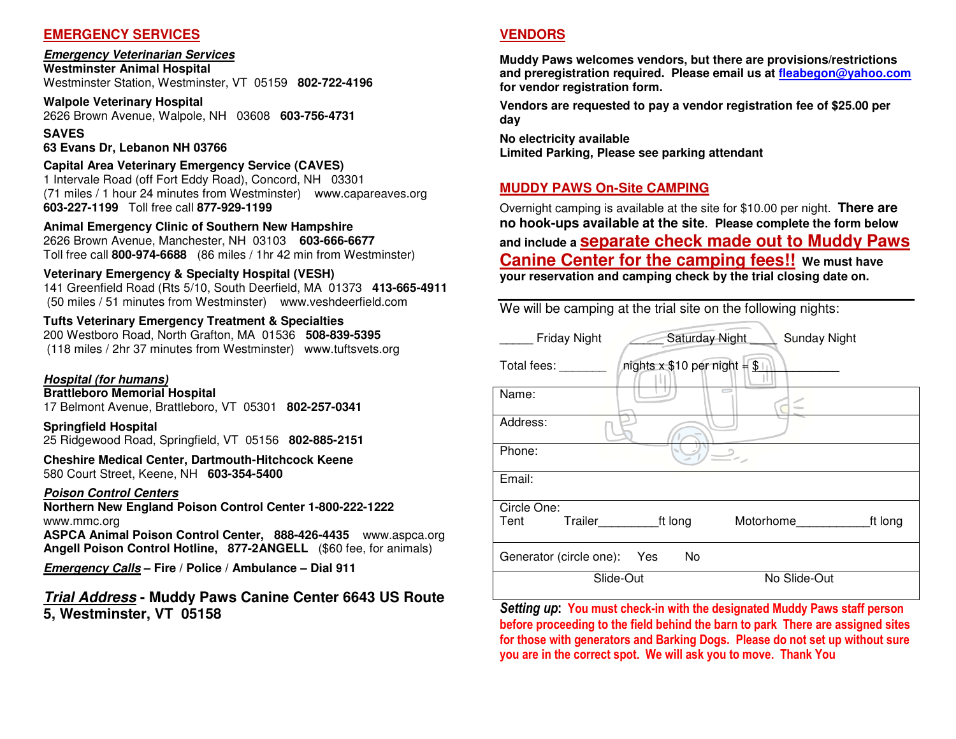#### **EMERGENCY SERVICES**

#### **Emergency Veterinarian Services**

**Westminster Animal Hospital** Westminster Station, Westminster, VT 05159 **802-722-4196**

**Walpole Veterinary Hospital** 2626 Brown Avenue, Walpole, NH 03608 **603-756-4731**

**SAVES** 

#### **63 Evans Dr, Lebanon NH 03766**

#### **Capital Area Veterinary Emergency Service (CAVES)**

 1 Intervale Road (off Fort Eddy Road), Concord, NH 03301 (71 miles / 1 hour 24 minutes from Westminster) www.capareaves.org **603-227-1199** Toll free call **877-929-1199**

### **Animal Emergency Clinic of Southern New Hampshire**

 2626 Brown Avenue, Manchester, NH 03103 **603-666-6677**Toll free call **800-974-6688** (86 miles / 1hr 42 min from Westminster)

#### **Veterinary Emergency & Specialty Hospital (VESH)**

 141 Greenfield Road (Rts 5/10, South Deerfield, MA 01373 **413-665-4911**(50 miles / 51 minutes from Westminster) www.veshdeerfield.com

#### **Tufts Veterinary Emergency Treatment & Specialties**

 200 Westboro Road, North Grafton, MA 01536 **508-839-5395** (118 miles / 2hr 37 minutes from Westminster) www.tuftsvets.org

### **Hospital (for humans)**

**Brattleboro Memorial Hospital** 

17 Belmont Avenue, Brattleboro, VT 05301 **802-257-0341**

#### **Springfield Hospital** 25 Ridgewood Road, Springfield, VT 05156 **802-885-2151**

**Cheshire Medical Center, Dartmouth-Hitchcock Keene** 580 Court Street, Keene, NH **603-354-5400** 

#### **Poison Control Centers**

 **Northern New England Poison Control Center 1-800-222-1222** www.mmc.org

 **ASPCA Animal Poison Control Center, 888-426-4435** www.aspca.org **Angell Poison Control Hotline, 877-2ANGELL** (\$60 fee, for animals)

**Emergency Calls – Fire / Police / Ambulance – Dial 911** 

## **Trial Address - Muddy Paws Canine Center 6643 US Route 5, Westminster, VT 05158**

## **VENDORS**

**Muddy Paws welcomes vendors, but there are provisions/restrictions and preregistration required. Please email us at fleabegon@yahoo.comfor vendor registration form.** 

**Vendors are requested to pay a vendor registration fee of \$25.00 per day** 

**No electricity available Limited Parking, Please see parking attendant**

## **MUDDY PAWS On-Site CAMPING**

Overnight camping is available at the site for \$10.00 per night. **There are no hook-ups available at the site**. **Please complete the form below and include a separate check made out to Muddy Paws Canine Center for the camping fees!! We must have your reservation and camping check by the trial closing date on.** 

We will be camping at the trial site on the following nights:

| <b>Friday Night</b>     | Saturday Night                  | <b>Sunday Night</b> |         |
|-------------------------|---------------------------------|---------------------|---------|
| Total fees:             | nights $x $10$ per night = $$1$ |                     |         |
| Name:                   |                                 |                     |         |
| Address:                |                                 |                     |         |
| Phone:                  |                                 |                     |         |
| Email:                  |                                 |                     |         |
| Circle One:             |                                 |                     |         |
| Tent                    | Trailer ft long                 | Motorhome           | ft long |
| Generator (circle one): | No<br>Yes                       |                     |         |
|                         | Slide-Out                       | No Slide-Out        |         |

*Setting up***: You must check-in with the designated Muddy Paws staff person before proceeding to the field behind the barn to park There are assigned sites for those with generators and Barking Dogs. Please do not set up without sure you are in the correct spot. We will ask you to move. Thank You**